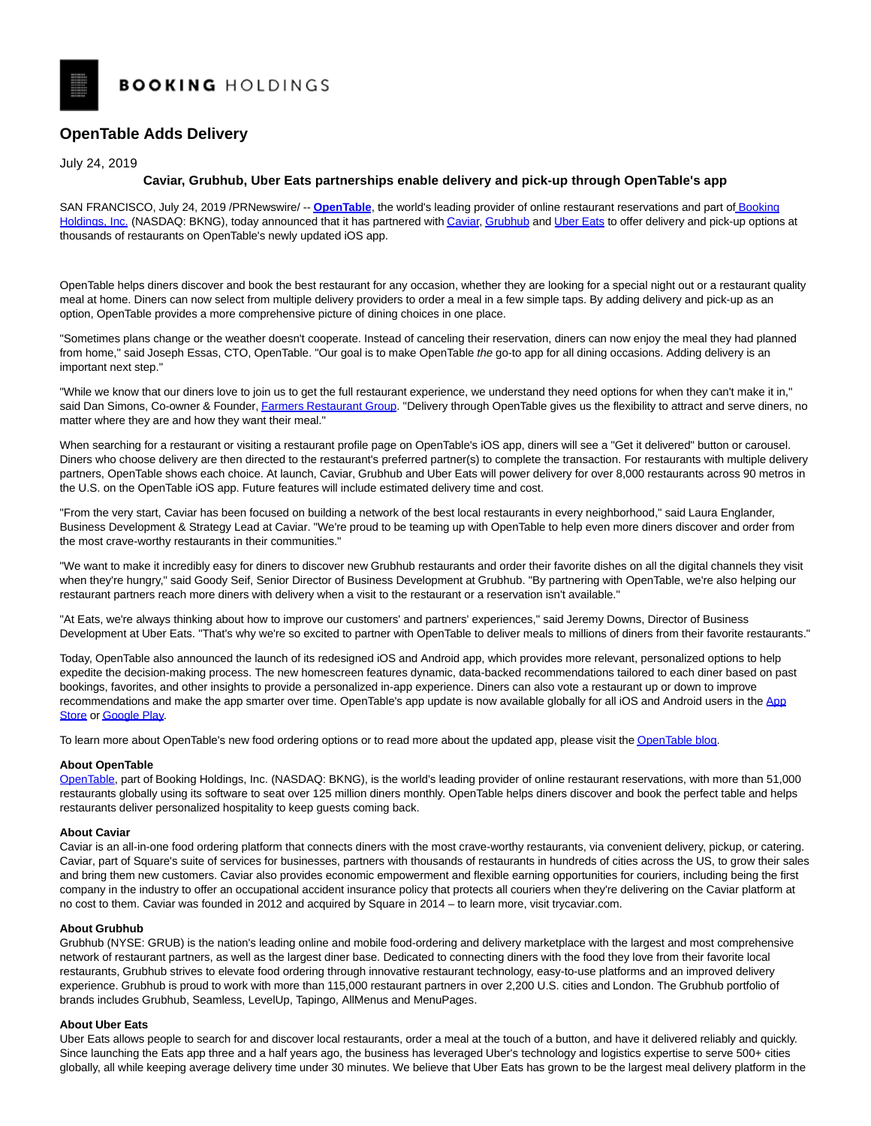# **BOOKING HOLDINGS**

# **OpenTable Adds Delivery**

July 24, 2019

## **Caviar, Grubhub, Uber Eats partnerships enable delivery and pick-up through OpenTable's app**

SAN FRANCISCO, July 24, 2019 /PRNewswire/ -- **[OpenTable](https://c212.net/c/link/?t=0&l=en&o=2532826-1&h=3391038001&u=https%3A%2F%2Fwww.opentable.com%2F&a=OpenTable)**, the world's leading provider of online restaurant reservations and part of [Booking](https://c212.net/c/link/?t=0&l=en&o=2532826-1&h=3639414990&u=https%3A%2F%2Fwww.bookingholdings.com%2F&a=Booking+Holdings%2C+Inc.) Holdings, Inc. (NASDAQ: BKNG), today announced that it has partnered wit[h Caviar,](https://c212.net/c/link/?t=0&l=en&o=2532826-1&h=1252606210&u=https%3A%2F%2Fwww.trycaviar.com%2F&a=Caviar) [Grubhub a](https://c212.net/c/link/?t=0&l=en&o=2532826-1&h=78116491&u=https%3A%2F%2Fwww.grubhub.com%2F&a=Grubhub)nd [Uber Eats t](https://c212.net/c/link/?t=0&l=en&o=2532826-1&h=1007725167&u=https%3A%2F%2Fwww.ubereats.com%2Fen-US%2F&a=Uber+Eats)o offer delivery and pick-up options at thousands of restaurants on OpenTable's newly updated iOS app.

OpenTable helps diners discover and book the best restaurant for any occasion, whether they are looking for a special night out or a restaurant quality meal at home. Diners can now select from multiple delivery providers to order a meal in a few simple taps. By adding delivery and pick-up as an option, OpenTable provides a more comprehensive picture of dining choices in one place.

"Sometimes plans change or the weather doesn't cooperate. Instead of canceling their reservation, diners can now enjoy the meal they had planned from home," said Joseph Essas, CTO, OpenTable. "Our goal is to make OpenTable the go-to app for all dining occasions. Adding delivery is an important next step."

"While we know that our diners love to join us to get the full restaurant experience, we understand they need options for when they can't make it in," said Dan Simons, Co-owner & Founder, [Farmers Restaurant Group.](https://c212.net/c/link/?t=0&l=en&o=2532826-1&h=12910181&u=https%3A%2F%2Fwww.farmersrestaurantgroup.com%2F&a=Farmers+Restaurant+Group) "Delivery through OpenTable gives us the flexibility to attract and serve diners, no matter where they are and how they want their meal."

When searching for a restaurant or visiting a restaurant profile page on OpenTable's iOS app, diners will see a "Get it delivered" button or carousel. Diners who choose delivery are then directed to the restaurant's preferred partner(s) to complete the transaction. For restaurants with multiple delivery partners, OpenTable shows each choice. At launch, Caviar, Grubhub and Uber Eats will power delivery for over 8,000 restaurants across 90 metros in the U.S. on the OpenTable iOS app. Future features will include estimated delivery time and cost.

"From the very start, Caviar has been focused on building a network of the best local restaurants in every neighborhood," said Laura Englander, Business Development & Strategy Lead at Caviar. "We're proud to be teaming up with OpenTable to help even more diners discover and order from the most crave-worthy restaurants in their communities."

"We want to make it incredibly easy for diners to discover new Grubhub restaurants and order their favorite dishes on all the digital channels they visit when they're hungry," said Goody Seif, Senior Director of Business Development at Grubhub. "By partnering with OpenTable, we're also helping our restaurant partners reach more diners with delivery when a visit to the restaurant or a reservation isn't available."

"At Eats, we're always thinking about how to improve our customers' and partners' experiences," said Jeremy Downs, Director of Business Development at Uber Eats. "That's why we're so excited to partner with OpenTable to deliver meals to millions of diners from their favorite restaurants."

Today, OpenTable also announced the launch of its redesigned iOS and Android app, which provides more relevant, personalized options to help expedite the decision-making process. The new homescreen features dynamic, data-backed recommendations tailored to each diner based on past bookings, favorites, and other insights to provide a personalized in-app experience. Diners can also vote a restaurant up or down to improve recommendations and make the app smarter over time. OpenTable's app update is now available globally for all iOS and Android users in the [App](https://c212.net/c/link/?t=0&l=en&o=2532826-1&h=4035178341&u=https%3A%2F%2Fitunes.apple.com%2Fus%2Fapp%2Fopentable%2Fid296581815&a=App+Store) Store o[r Google Play.](https://c212.net/c/link/?t=0&l=en&o=2532826-1&h=3124968463&u=https%3A%2F%2Fplay.google.com%2Fstore%2Fapps%2Fdetails%3Fid%3Dcom.opentable%26hl%3Den_US&a=Google+Play)

To learn more about OpenTable's new food ordering options or to read more about the updated app, please visit th[e OpenTable blog.](https://c212.net/c/link/?t=0&l=en&o=2532826-1&h=32577765&u=https%3A%2F%2Fblog.opentable.com%2F&a=OpenTable+blog)

#### **About OpenTable**

[OpenTable,](https://c212.net/c/link/?t=0&l=en&o=2532826-1&h=3391038001&u=https%3A%2F%2Fwww.opentable.com%2F&a=OpenTable) part of Booking Holdings, Inc. (NASDAQ: BKNG), is the world's leading provider of online restaurant reservations, with more than 51,000 restaurants globally using its software to seat over 125 million diners monthly. OpenTable helps diners discover and book the perfect table and helps restaurants deliver personalized hospitality to keep guests coming back.

#### **About Caviar**

Caviar is an all-in-one food ordering platform that connects diners with the most crave-worthy restaurants, via convenient delivery, pickup, or catering. Caviar, part of Square's suite of services for businesses, partners with thousands of restaurants in hundreds of cities across the US, to grow their sales and bring them new customers. Caviar also provides economic empowerment and flexible earning opportunities for couriers, including being the first company in the industry to offer an occupational accident insurance policy that protects all couriers when they're delivering on the Caviar platform at no cost to them. Caviar was founded in 2012 and acquired by Square in 2014 – to learn more, visit trycaviar.com.

#### **About Grubhub**

Grubhub (NYSE: GRUB) is the nation's leading online and mobile food-ordering and delivery marketplace with the largest and most comprehensive network of restaurant partners, as well as the largest diner base. Dedicated to connecting diners with the food they love from their favorite local restaurants, Grubhub strives to elevate food ordering through innovative restaurant technology, easy-to-use platforms and an improved delivery experience. Grubhub is proud to work with more than 115,000 restaurant partners in over 2,200 U.S. cities and London. The Grubhub portfolio of brands includes Grubhub, Seamless, LevelUp, Tapingo, AllMenus and MenuPages.

## **About Uber Eats**

Uber Eats allows people to search for and discover local restaurants, order a meal at the touch of a button, and have it delivered reliably and quickly. Since launching the Eats app three and a half years ago, the business has leveraged Uber's technology and logistics expertise to serve 500+ cities globally, all while keeping average delivery time under 30 minutes. We believe that Uber Eats has grown to be the largest meal delivery platform in the